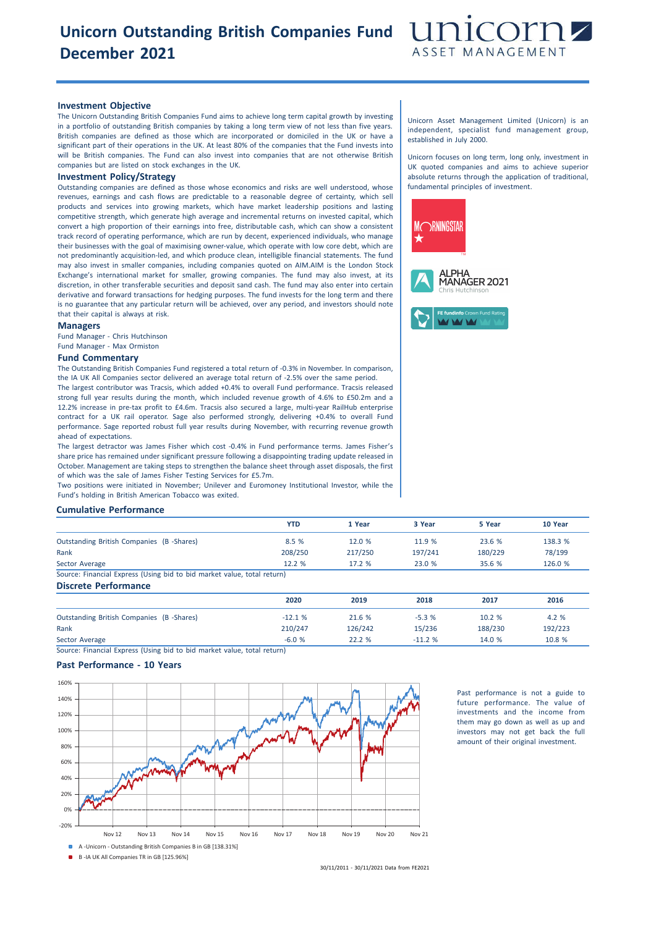# **Unicorn Outstanding British Companies Fund December 2021**



### **Investment Objective**

The Unicorn Outstanding British Companies Fund aims to achieve long term capital growth by investing in a portfolio of outstanding British companies by taking a long term view of not less than five years. British companies are defined as those which are incorporated or domiciled in the UK or have a significant part of their operations in the UK. At least 80% of the companies that the Fund invests into will be British companies. The Fund can also invest into companies that are not otherwise British companies but are listed on stock exchanges in the UK.

## **Investment Policy/Strategy**

Outstanding companies are defined as those whose economics and risks are well understood, whose revenues, earnings and cash flows are predictable to a reasonable degree of certainty, which sell products and services into growing markets, which have market leadership positions and lasting competitive strength, which generate high average and incremental returns on invested capital, which convert a high proportion of their earnings into free, distributable cash, which can show a consistent track record of operating performance, which are run by decent, experienced individuals, who manage their businesses with the goal of maximising owner-value, which operate with low core debt, which are not predominantly acquisition-led, and which produce clean, intelligible financial statements. The fund may also invest in smaller companies, including companies quoted on AIM.AIM is the London Stock Exchange's international market for smaller, growing companies. The fund may also invest, at its discretion, in other transferable securities and deposit sand cash. The fund may also enter into certain derivative and forward transactions for hedging purposes. The fund invests for the long term and there is no guarantee that any particular return will be achieved, over any period, and investors should note that their capital is always at risk.

#### **Managers**

Fund Manager - Chris Hutchinson Fund Manager - Max Ormiston

#### **Fund Commentary**

The Outstanding British Companies Fund registered a total return of -0.3% in November. In comparison, the IA UK All Companies sector delivered an average total return of -2.5% over the same period. The largest contributor was Tracsis, which added +0.4% to overall Fund performance. Tracsis released strong full year results during the month, which included revenue growth of 4.6% to £50.2m and a 12.2% increase in pre-tax profit to £4.6m. Tracsis also secured a large, multi-year RailHub enterprise contract for a UK rail operator. Sage also performed strongly, delivering +0.4% to overall Fund performance. Sage reported robust full year results during November, with recurring revenue growth ahead of expectations.

The largest detractor was James Fisher which cost -0.4% in Fund performance terms. James Fisher's share price has remained under significant pressure following a disappointing trading update released in October. Management are taking steps to strengthen the balance sheet through asset disposals, the first of which was the sale of James Fisher Testing Services for £5.7m.

Two positions were initiated in November; Unilever and Euromoney Institutional Investor, while the Fund's holding in British American Tobacco was exited.

## **Cumulative Performance**

|                                                                         | YTD     | 1 Year  | 3 Year  | 5 Year  | 10 Year |
|-------------------------------------------------------------------------|---------|---------|---------|---------|---------|
| Outstanding British Companies (B -Shares)                               | 8.5 %   | 12.0 %  | 11.9 %  | 23.6 %  | 138.3 % |
| Rank                                                                    | 208/250 | 217/250 | 197/241 | 180/229 | 78/199  |
| Sector Average                                                          | 12.2%   | 17.2%   | 23.0 %  | 35.6 %  | 126.0 % |
| Source: Financial Express (Using bid to bid market value, total return) |         |         |         |         |         |
| <b>Discrete Performance</b>                                             |         |         |         |         |         |
|                                                                         | 2020    | 2019    | 2018    | 2017    | 2016    |

30/11/2011 - 30/11/2021 Data from FE2021

Outstanding British Companies (B -Shares) -12.1 % 21.6 % -5.3 % 10.2 % 4.2 %

Rank 210/247 126/242 15/236 188/230 192/223 Sector Average -6.0 % 22.2 % -11.2 % 14.0 % 10.8 %

Source: Financial Express (Using bid to bid market value, total return)

## **Past Performance - 10 Years**



Past performance is not a guide to future performance. The value of investments and the income from them may go down as well as up and investors may not get back the full amount of their original investment.

Unicorn Asset Management Limited (Unicorn) is an independent, specialist fund management group, established in July 2000.

Unicorn focuses on long term, long only, investment in UK quoted companies and aims to achieve superior absolute returns through the application of traditional, fundamental principles of investment.